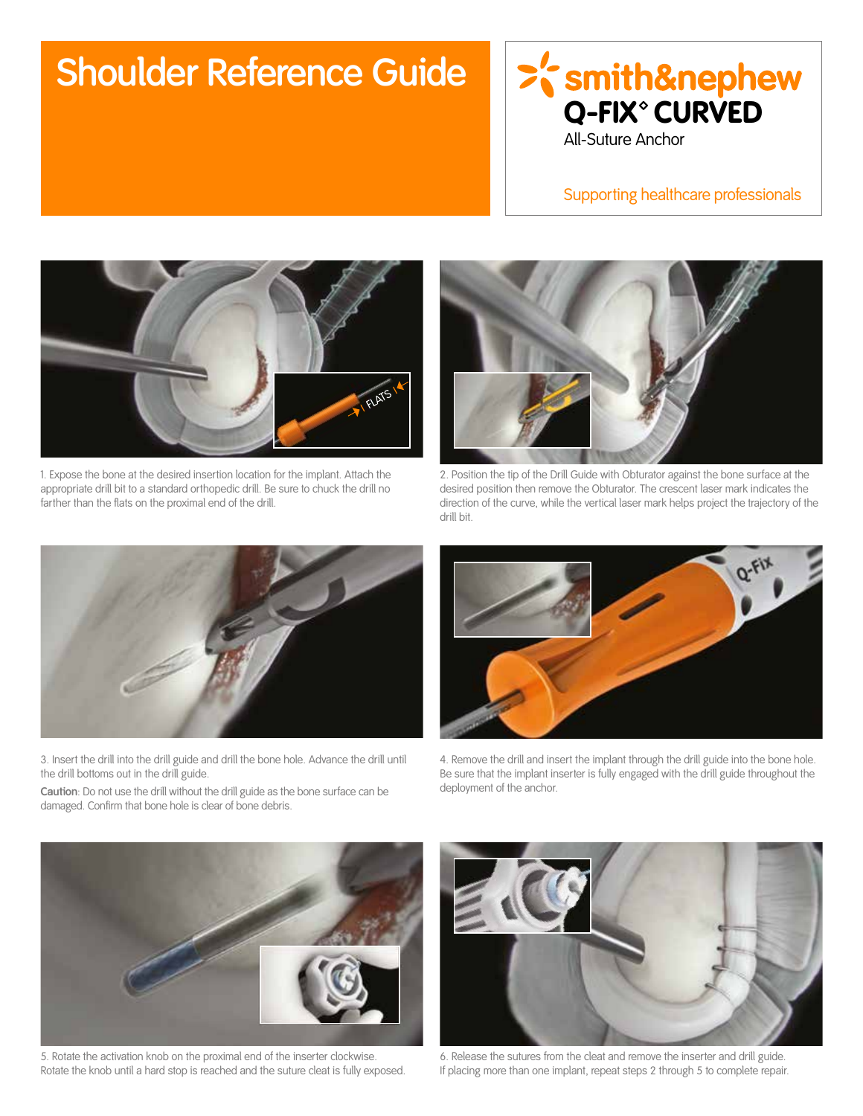## **Shoulder Reference Guide**



Supporting healthcare professionals



1. Expose the bone at the desired insertion location for the implant. Attach the appropriate drill bit to a standard orthopedic drill. Be sure to chuck the drill no farther than the flats on the proximal end of the drill.



2. Position the tip of the Drill Guide with Obturator against the bone surface at the desired position then remove the Obturator. The crescent laser mark indicates the direction of the curve, while the vertical laser mark helps project the trajectory of the drill bit.



3. Insert the drill into the drill guide and drill the bone hole. Advance the drill until the drill bottoms out in the drill guide.

**Caution**: Do not use the drill without the drill guide as the bone surface can be damaged. Confirm that bone hole is clear of bone debris.



4. Remove the drill and insert the implant through the drill guide into the bone hole. Be sure that the implant inserter is fully engaged with the drill guide throughout the deployment of the anchor.



5. Rotate the activation knob on the proximal end of the inserter clockwise. Rotate the knob until a hard stop is reached and the suture cleat is fully exposed.



6. Release the sutures from the cleat and remove the inserter and drill guide. If placing more than one implant, repeat steps 2 through 5 to complete repair.